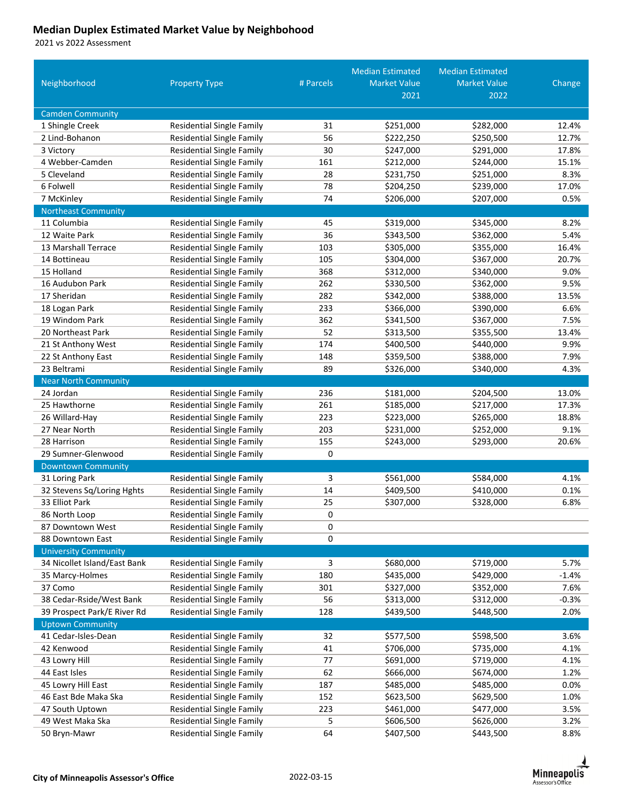## **Median Duplex Estimated Market Value by Neighbohood**

vs 2022 Assessment

|                                                         |                                                                      |           | <b>Median Estimated</b> | <b>Median Estimated</b> |         |
|---------------------------------------------------------|----------------------------------------------------------------------|-----------|-------------------------|-------------------------|---------|
| Neighborhood                                            | <b>Property Type</b>                                                 | # Parcels | <b>Market Value</b>     | <b>Market Value</b>     | Change  |
|                                                         |                                                                      |           | 2021                    | 2022                    |         |
| <b>Camden Community</b>                                 |                                                                      |           |                         |                         |         |
| 1 Shingle Creek                                         | <b>Residential Single Family</b>                                     | 31        | \$251,000               | \$282,000               | 12.4%   |
| 2 Lind-Bohanon                                          | <b>Residential Single Family</b>                                     | 56        | \$222,250               | \$250,500               | 12.7%   |
| 3 Victory                                               | <b>Residential Single Family</b>                                     | 30        | \$247,000               | \$291,000               | 17.8%   |
| 4 Webber-Camden                                         | <b>Residential Single Family</b>                                     | 161       | \$212,000               | \$244,000               | 15.1%   |
| 5 Cleveland                                             | <b>Residential Single Family</b>                                     | 28        | \$231,750               | \$251,000               | 8.3%    |
| 6 Folwell                                               | <b>Residential Single Family</b>                                     | 78        | \$204,250               | \$239,000               | 17.0%   |
| 7 McKinley                                              | <b>Residential Single Family</b>                                     | 74        | \$206,000               | \$207,000               | 0.5%    |
| <b>Northeast Community</b>                              |                                                                      |           |                         |                         |         |
| 11 Columbia                                             | <b>Residential Single Family</b>                                     | 45        | \$319,000               | \$345,000               | 8.2%    |
| 12 Waite Park                                           | <b>Residential Single Family</b>                                     | 36        | \$343,500               | \$362,000               | 5.4%    |
| 13 Marshall Terrace                                     | <b>Residential Single Family</b>                                     | 103       | \$305,000               | \$355,000               | 16.4%   |
| 14 Bottineau                                            | <b>Residential Single Family</b>                                     | 105       | \$304,000               | \$367,000               | 20.7%   |
| 15 Holland                                              | <b>Residential Single Family</b>                                     | 368       | \$312,000               | \$340,000               | 9.0%    |
| 16 Audubon Park                                         | <b>Residential Single Family</b>                                     | 262       | \$330,500               | \$362,000               | 9.5%    |
| 17 Sheridan                                             | <b>Residential Single Family</b>                                     | 282       | \$342,000               | \$388,000               | 13.5%   |
| 18 Logan Park                                           | <b>Residential Single Family</b>                                     | 233       | \$366,000               | \$390,000               | 6.6%    |
| 19 Windom Park                                          | <b>Residential Single Family</b>                                     | 362       | \$341,500               | \$367,000               | 7.5%    |
| 20 Northeast Park                                       | <b>Residential Single Family</b>                                     | 52        | \$313,500               | \$355,500               | 13.4%   |
| 21 St Anthony West                                      | <b>Residential Single Family</b>                                     | 174       | \$400,500               | \$440,000               | 9.9%    |
| 22 St Anthony East                                      | <b>Residential Single Family</b>                                     | 148       | \$359,500               | \$388,000               | 7.9%    |
| 23 Beltrami                                             | <b>Residential Single Family</b>                                     | 89        | \$326,000               | \$340,000               | 4.3%    |
| <b>Near North Community</b>                             |                                                                      |           |                         |                         |         |
| 24 Jordan                                               | <b>Residential Single Family</b>                                     | 236       | \$181,000               | \$204,500               | 13.0%   |
| 25 Hawthorne                                            | <b>Residential Single Family</b>                                     | 261       | \$185,000               | \$217,000               | 17.3%   |
| 26 Willard-Hay                                          | <b>Residential Single Family</b>                                     | 223       | \$223,000               | \$265,000               | 18.8%   |
| 27 Near North                                           | <b>Residential Single Family</b>                                     | 203       | \$231,000               | \$252,000               | 9.1%    |
| 28 Harrison                                             | <b>Residential Single Family</b>                                     | 155       | \$243,000               | \$293,000               | 20.6%   |
| 29 Sumner-Glenwood                                      | Residential Single Family                                            | 0         |                         |                         |         |
| <b>Downtown Community</b>                               |                                                                      |           |                         |                         |         |
| 31 Loring Park                                          | <b>Residential Single Family</b>                                     | 3         | \$561,000               | \$584,000               | 4.1%    |
| 32 Stevens Sq/Loring Hghts                              | <b>Residential Single Family</b>                                     | 14        | \$409,500               | \$410,000               | 0.1%    |
| 33 Elliot Park                                          | <b>Residential Single Family</b>                                     | 25        | \$307,000               | \$328,000               | 6.8%    |
| 86 North Loop                                           | <b>Residential Single Family</b>                                     | 0         |                         |                         |         |
| 87 Downtown West                                        | <b>Residential Single Family</b>                                     | 0         |                         |                         |         |
| 88 Downtown East                                        | <b>Residential Single Family</b>                                     | 0         |                         |                         |         |
| <b>University Community</b>                             |                                                                      |           |                         |                         |         |
| 34 Nicollet Island/East Bank                            | <b>Residential Single Family</b>                                     | 3         | \$680,000               | \$719,000               | 5.7%    |
| 35 Marcy-Holmes                                         | <b>Residential Single Family</b>                                     | 180       | \$435,000               | \$429,000               | $-1.4%$ |
| 37 Como                                                 | <b>Residential Single Family</b>                                     | 301       | \$327,000               | \$352,000               | 7.6%    |
| 38 Cedar-Rside/West Bank<br>39 Prospect Park/E River Rd | <b>Residential Single Family</b><br><b>Residential Single Family</b> | 56<br>128 | \$313,000               | \$312,000               | $-0.3%$ |
| <b>Uptown Community</b>                                 |                                                                      |           | \$439,500               | \$448,500               | 2.0%    |
| 41 Cedar-Isles-Dean                                     | <b>Residential Single Family</b>                                     | 32        | \$577,500               | \$598,500               | 3.6%    |
| 42 Kenwood                                              | <b>Residential Single Family</b>                                     | 41        | \$706,000               | \$735,000               | 4.1%    |
| 43 Lowry Hill                                           | <b>Residential Single Family</b>                                     | $77 \,$   | \$691,000               | \$719,000               | 4.1%    |
| 44 East Isles                                           | <b>Residential Single Family</b>                                     | 62        | \$666,000               | \$674,000               | 1.2%    |
| 45 Lowry Hill East                                      | <b>Residential Single Family</b>                                     | 187       | \$485,000               | \$485,000               | 0.0%    |
| 46 East Bde Maka Ska                                    | <b>Residential Single Family</b>                                     | 152       | \$623,500               | \$629,500               | 1.0%    |
| 47 South Uptown                                         | <b>Residential Single Family</b>                                     | 223       | \$461,000               | \$477,000               | 3.5%    |
| 49 West Maka Ska                                        | <b>Residential Single Family</b>                                     | 5         | \$606,500               | \$626,000               | 3.2%    |
| 50 Bryn-Mawr                                            | <b>Residential Single Family</b>                                     | 64        | \$407,500               | \$443,500               | 8.8%    |